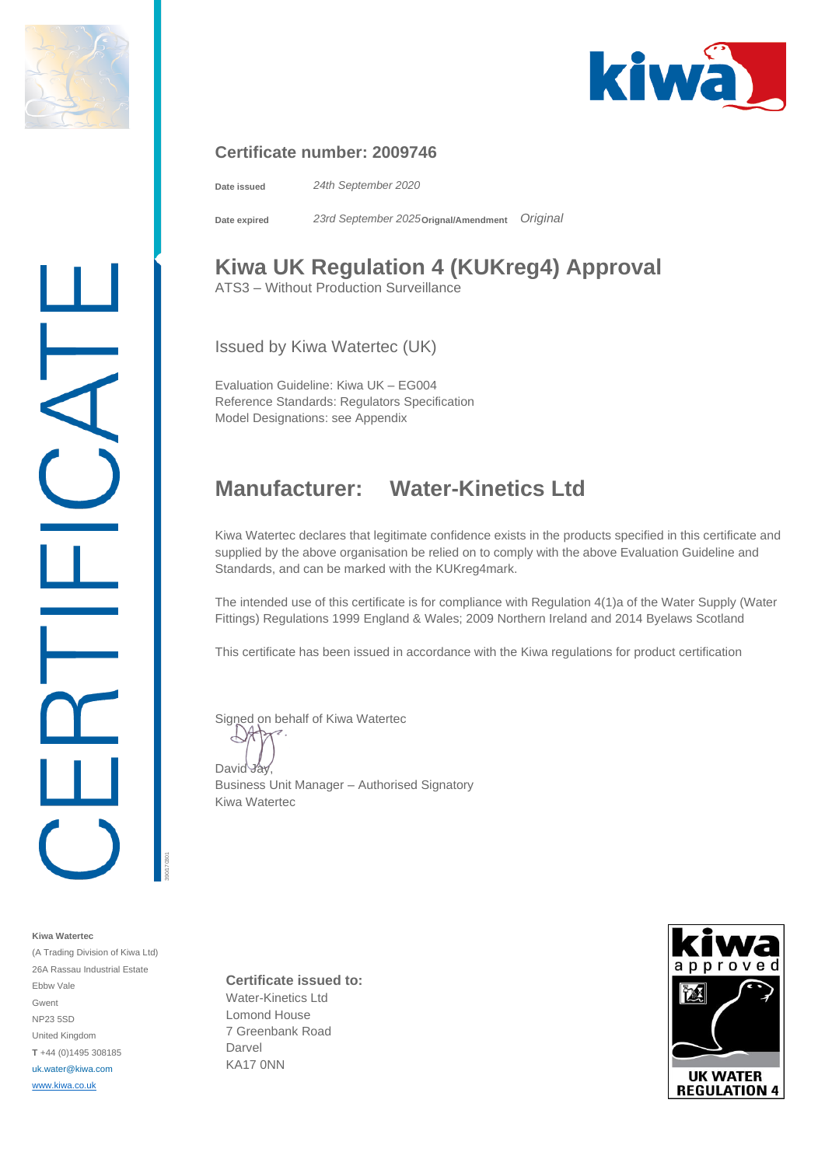



#### **Certificate number: 2009746**

**Date issued** *24th September 2020*

**Date expired** *23rd September 2025***Orignal/Amendment** *Original*

# **Kiwa UK Regulation 4 (KUKreg4) Approval**

ATS3 – Without Production Surveillance

Issued by Kiwa Watertec (UK)

Evaluation Guideline: Kiwa UK – EG004 Reference Standards: Regulators Specification Model Designations: see Appendix

### **Manufacturer: Water-Kinetics Ltd**

Kiwa Watertec declares that legitimate confidence exists in the products specified in this certificate and supplied by the above organisation be relied on to comply with the above Evaluation Guideline and Standards, and can be marked with the KUKreg4mark.

The intended use of this certificate is for compliance with Regulation 4(1)a of the Water Supply (Water Fittings) Regulations 1999 England & Wales; 2009 Northern Ireland and 2014 Byelaws Scotland

This certificate has been issued in accordance with the Kiwa regulations for product certification

Signed on behalf of Kiwa Watertec

David Jay

390/170301

Business Unit Manager – Authorised Signatory Kiwa Watertec

**Certificate issued to:** Water-Kinetics Ltd Lomond House 7 Greenbank Road Darvel KA17 0NN



**Kiwa Watertec** (A Trading Division of Kiwa Ltd)

26A Rassau Industrial Estate Ebbw Vale Gwent NP23 5SD United Kingdom **T** +44 (0)1495 308185 uk.water@kiwa.com [www.kiwa.co.uk](http://www.kiwa.co.uk/)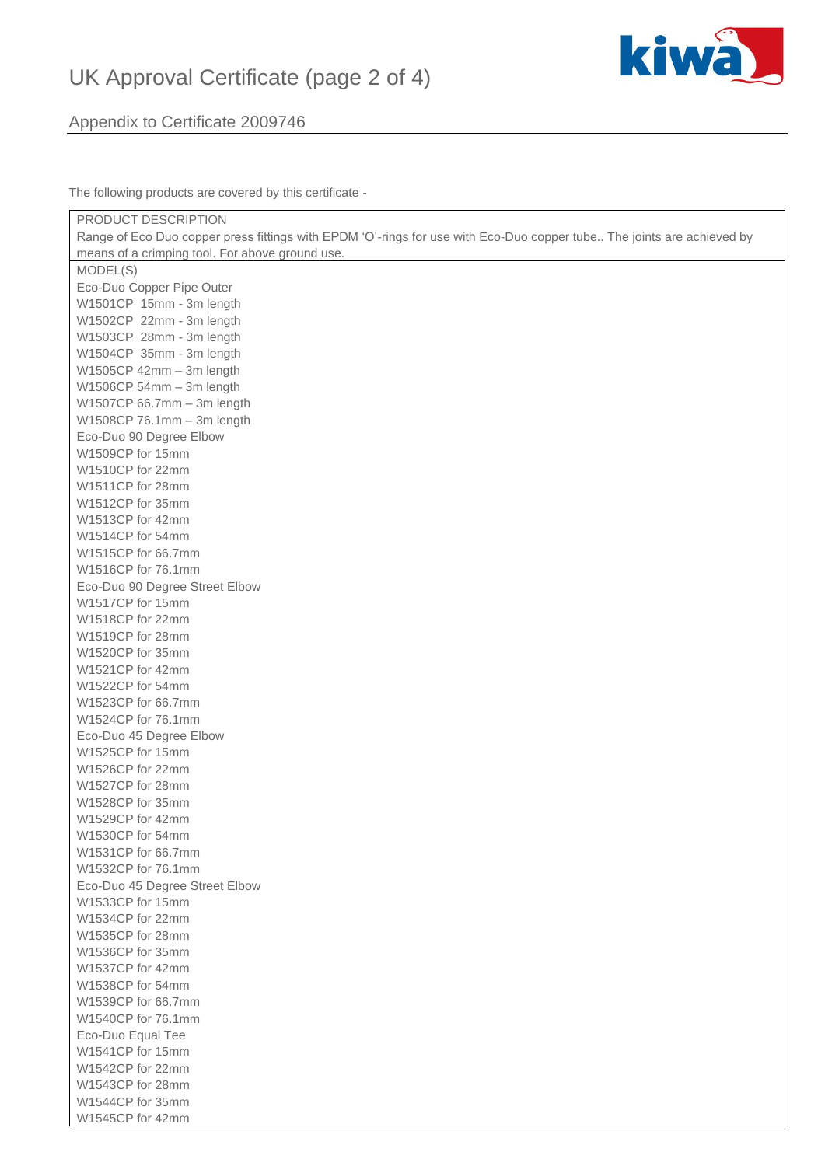# UK Approval Certificate (page 2 of 4)



#### Appendix to Certificate 2009746

The following products are covered by this certificate -

| PRODUCT DESCRIPTION                                                                                                    |
|------------------------------------------------------------------------------------------------------------------------|
| Range of Eco Duo copper press fittings with EPDM 'O'-rings for use with Eco-Duo copper tube The joints are achieved by |
| means of a crimping tool. For above ground use.                                                                        |
| MODEL(S)                                                                                                               |
| Eco-Duo Copper Pipe Outer                                                                                              |
| W1501CP 15mm - 3m length                                                                                               |
| W1502CP 22mm - 3m length                                                                                               |
| W1503CP 28mm - 3m length                                                                                               |
| W1504CP 35mm - 3m length                                                                                               |
| W1505CP 42mm - 3m length                                                                                               |
| W1506CP 54mm - 3m length                                                                                               |
| W1507CP 66.7mm - 3m length                                                                                             |
| W1508CP 76.1mm - 3m length                                                                                             |
| Eco-Duo 90 Degree Elbow                                                                                                |
| W1509CP for 15mm                                                                                                       |
| W1510CP for 22mm                                                                                                       |
| W1511CP for 28mm                                                                                                       |
| W1512CP for 35mm                                                                                                       |
| W1513CP for 42mm                                                                                                       |
| W1514CP for 54mm                                                                                                       |
| W1515CP for 66.7mm                                                                                                     |
| W1516CP for 76.1mm                                                                                                     |
| Eco-Duo 90 Degree Street Elbow                                                                                         |
| W1517CP for 15mm                                                                                                       |
| W1518CP for 22mm                                                                                                       |
| W1519CP for 28mm                                                                                                       |
| W1520CP for 35mm                                                                                                       |
| W1521CP for 42mm                                                                                                       |
| W1522CP for 54mm                                                                                                       |
| W1523CP for 66.7mm                                                                                                     |
| W1524CP for 76.1mm                                                                                                     |
| Eco-Duo 45 Degree Elbow                                                                                                |
| W1525CP for 15mm                                                                                                       |
| W1526CP for 22mm                                                                                                       |
| W1527CP for 28mm                                                                                                       |
| W1528CP for 35mm                                                                                                       |
| W1529CP for 42mm                                                                                                       |
| W1530CP for 54mm                                                                                                       |
| W1531CP for 66.7mm                                                                                                     |
| W1532CP for 76.1mm                                                                                                     |
| Eco-Duo 45 Degree Street Elbow                                                                                         |
| W1533CP for 15mm                                                                                                       |
| W1534CP for 22mm                                                                                                       |
| W1535CP for 28mm                                                                                                       |
| W1536CP for 35mm                                                                                                       |
| W1537CP for 42mm                                                                                                       |
| W1538CP for 54mm                                                                                                       |
| W1539CP for 66.7mm                                                                                                     |
|                                                                                                                        |
| W1540CP for 76.1mm                                                                                                     |
| Eco-Duo Equal Tee                                                                                                      |
| W1541CP for 15mm                                                                                                       |
| W1542CP for 22mm                                                                                                       |
| W1543CP for 28mm                                                                                                       |
| W1544CP for 35mm                                                                                                       |
| W1545CP for 42mm                                                                                                       |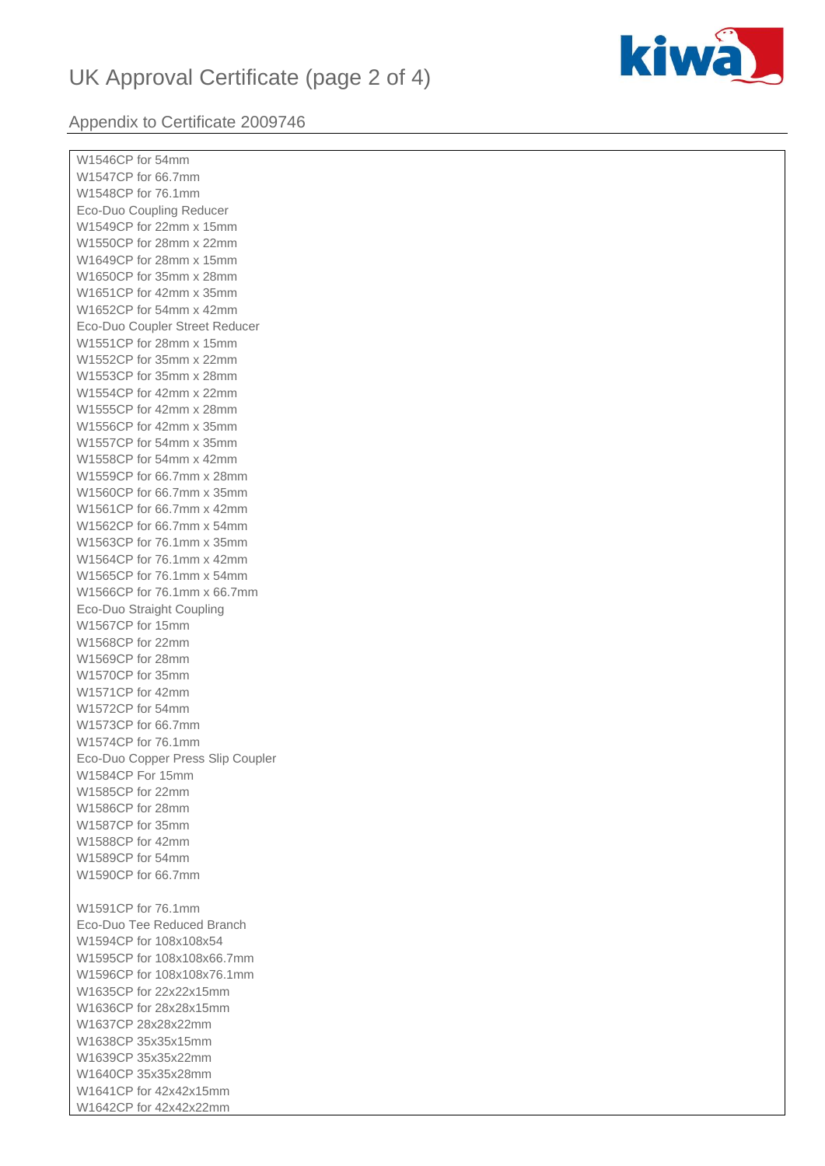### UK Approval Certificate (page 2 of 4)



#### Appendix to Certificate 2009746

W1546CP for 54mm W1547CP for 66.7mm W1548CP for 76.1mm Eco-Duo Coupling Reducer W1549CP for 22mm x 15mm W1550CP for 28mm x 22mm W1649CP for 28mm x 15mm W1650CP for 35mm x 28mm W1651CP for 42mm x 35mm W1652CP for 54mm x 42mm Eco-Duo Coupler Street Reducer W1551CP for 28mm x 15mm W1552CP for 35mm x 22mm W1553CP for 35mm x 28mm W1554CP for 42mm x 22mm W1555CP for 42mm x 28mm W1556CP for 42mm x 35mm W1557CP for 54mm x 35mm W1558CP for 54mm x 42mm W1559CP for 66.7mm x 28mm W1560CP for 66.7mm x 35mm W1561CP for 66.7mm x 42mm W1562CP for 66.7mm x 54mm W1563CP for 76.1mm x 35mm W1564CP for 76.1mm x 42mm W1565CP for 76.1mm x 54mm W1566CP for 76.1mm x 66.7mm Eco-Duo Straight Coupling W1567CP for 15mm W1568CP for 22mm W1569CP for 28mm W1570CP for 35mm W1571CP for 42mm W1572CP for 54mm W1573CP for 66.7mm W1574CP for 76.1mm Eco-Duo Copper Press Slip Coupler W1584CP For 15mm W1585CP for 22mm W1586CP for 28mm W1587CP for 35mm W1588CP for 42mm W1589CP for 54mm W1590CP for 66.7mm W1591CP for 76.1mm Eco-Duo Tee Reduced Branch W1594CP for 108x108x54 W1595CP for 108x108x66.7mm W1596CP for 108x108x76.1mm W1635CP for 22x22x15mm W1636CP for 28x28x15mm W1637CP 28x28x22mm W1638CP 35x35x15mm W1639CP 35x35x22mm W1640CP 35x35x28mm W1641CP for 42x42x15mm W1642CP for 42x42x22mm